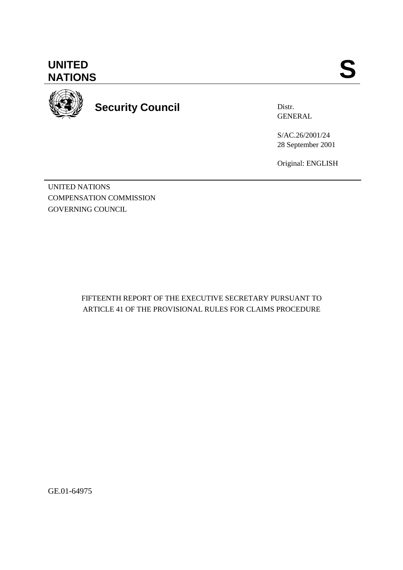# **UNITED<br>NATIONS** UNITED SANTIONS



# **Security Council**

Distr. GENERAL

S/AC.26/2001/24 28 September 2001

Original: ENGLISH

UNITED NATIONS COMPENSATION COMMISSION GOVERNING COUNCIL

> FIFTEENTH REPORT OF THE EXECUTIVE SECRETARY PURSUANT TO ARTICLE 41 OF THE PROVISIONAL RULES FOR CLAIMS PROCEDURE

GE.01-64975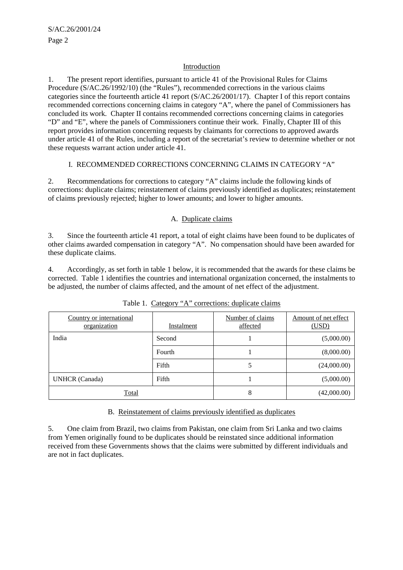#### Introduction

1. The present report identifies, pursuant to article 41 of the Provisional Rules for Claims Procedure (S/AC.26/1992/10) (the "Rules"), recommended corrections in the various claims categories since the fourteenth article 41 report (S/AC.26/2001/17). Chapter I of this report contains recommended corrections concerning claims in category "A", where the panel of Commissioners has concluded its work. Chapter II contains recommended corrections concerning claims in categories "D" and "E", where the panels of Commissioners continue their work. Finally, Chapter III of this report provides information concerning requests by claimants for corrections to approved awards under article 41 of the Rules, including a report of the secretariat's review to determine whether or not these requests warrant action under article 41.

#### I. RECOMMENDED CORRECTIONS CONCERNING CLAIMS IN CATEGORY "A"

2. Recommendations for corrections to category "A" claims include the following kinds of corrections: duplicate claims; reinstatement of claims previously identified as duplicates; reinstatement of claims previously rejected; higher to lower amounts; and lower to higher amounts.

### A. Duplicate claims

3. Since the fourteenth article 41 report, a total of eight claims have been found to be duplicates of other claims awarded compensation in category "A". No compensation should have been awarded for these duplicate claims.

4. Accordingly, as set forth in table 1 below, it is recommended that the awards for these claims be corrected. Table 1 identifies the countries and international organization concerned, the instalments to be adjusted, the number of claims affected, and the amount of net effect of the adjustment.

| Country or international<br>organization | Instalment | Number of claims<br>affected | Amount of net effect<br>(USD) |
|------------------------------------------|------------|------------------------------|-------------------------------|
| India                                    | Second     |                              | (5,000.00)                    |
|                                          | Fourth     |                              | (8,000.00)                    |
|                                          | Fifth      |                              | (24,000.00)                   |
| <b>UNHCR</b> (Canada)                    | Fifth      |                              | (5,000.00)                    |
| Total                                    |            | 8                            | (42,000.00)                   |

Table 1. Category "A" corrections: duplicate claims

#### B. Reinstatement of claims previously identified as duplicates

5. One claim from Brazil, two claims from Pakistan, one claim from Sri Lanka and two claims from Yemen originally found to be duplicates should be reinstated since additional information received from these Governments shows that the claims were submitted by different individuals and are not in fact duplicates.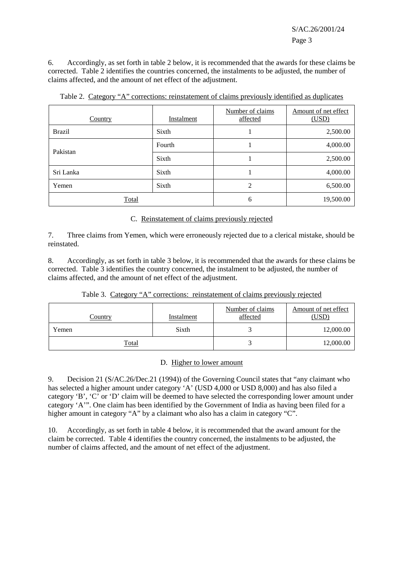S/AC.26/2001/24 Page 3

6. Accordingly, as set forth in table 2 below, it is recommended that the awards for these claims be corrected. Table 2 identifies the countries concerned, the instalments to be adjusted, the number of claims affected, and the amount of net effect of the adjustment.

| Country       | <b>Instalment</b> | Number of claims<br>affected | Amount of net effect<br>(USD) |
|---------------|-------------------|------------------------------|-------------------------------|
| <b>Brazil</b> | Sixth             |                              | 2,500.00                      |
| Pakistan      | Fourth            |                              | 4,000.00                      |
|               | Sixth             |                              | 2,500.00                      |
| Sri Lanka     | Sixth             |                              | 4,000.00                      |
| Yemen         | Sixth             | $\mathfrak{D}$               | 6,500.00                      |
| Total         |                   | 6                            | 19,500.00                     |

Table 2. Category "A" corrections: reinstatement of claims previously identified as duplicates

C. Reinstatement of claims previously rejected

7. Three claims from Yemen, which were erroneously rejected due to a clerical mistake, should be reinstated.

8. Accordingly, as set forth in table 3 below, it is recommended that the awards for these claims be corrected. Table 3 identifies the country concerned, the instalment to be adjusted, the number of claims affected, and the amount of net effect of the adjustment.

| Country | Instalment | Number of claims<br>affected | Amount of net effect<br>(USD) |
|---------|------------|------------------------------|-------------------------------|
| Yemen   | Sixth      |                              | 12,000.00                     |
| Total   |            |                              | 12,000.00                     |

Table 3. Category "A" corrections: reinstatement of claims previously rejected

#### D. Higher to lower amount

9. Decision 21 (S/AC.26/Dec.21 (1994)) of the Governing Council states that "any claimant who has selected a higher amount under category 'A' (USD 4,000 or USD 8,000) and has also filed a category 'B', 'C' or 'D' claim will be deemed to have selected the corresponding lower amount under category 'A'". One claim has been identified by the Government of India as having been filed for a higher amount in category "A" by a claimant who also has a claim in category "C".

10. Accordingly, as set forth in table 4 below, it is recommended that the award amount for the claim be corrected. Table 4 identifies the country concerned, the instalments to be adjusted, the number of claims affected, and the amount of net effect of the adjustment.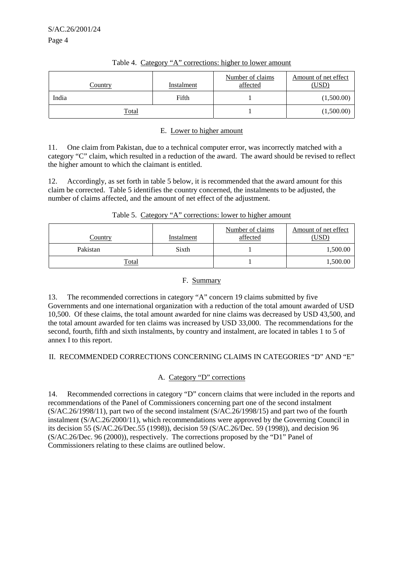| <u>Country</u> | Instalment | Number of claims<br>affected | Amount of net effect<br>(USD) |
|----------------|------------|------------------------------|-------------------------------|
| India          | Fifth      |                              | (1,500.00)                    |
| <b>Total</b>   |            |                              | (1,500.00)                    |

#### Table 4. Category "A" corrections: higher to lower amount

#### E. Lower to higher amount

11. One claim from Pakistan, due to a technical computer error, was incorrectly matched with a category "C" claim, which resulted in a reduction of the award. The award should be revised to reflect the higher amount to which the claimant is entitled.

12. Accordingly, as set forth in table 5 below, it is recommended that the award amount for this claim be corrected. Table 5 identifies the country concerned, the instalments to be adjusted, the number of claims affected, and the amount of net effect of the adjustment.

| Country  | Instalment | Number of claims<br>affected | Amount of net effect<br>$USD^{\circ}$ |
|----------|------------|------------------------------|---------------------------------------|
| Pakistan | Sixth      |                              | 1,500.00                              |

|  | Table 5. Category "A" corrections: lower to higher amount |  |  |
|--|-----------------------------------------------------------|--|--|
|  |                                                           |  |  |

### F. Summary

Total 1,500.00

13. The recommended corrections in category "A" concern 19 claims submitted by five Governments and one international organization with a reduction of the total amount awarded of USD 10,500. Of these claims, the total amount awarded for nine claims was decreased by USD 43,500, and the total amount awarded for ten claims was increased by USD 33,000. The recommendations for the second, fourth, fifth and sixth instalments, by country and instalment, are located in tables 1 to 5 of annex I to this report.

### II. RECOMMENDED CORRECTIONS CONCERNING CLAIMS IN CATEGORIES "D" AND "E"

### A. Category "D" corrections

14. Recommended corrections in category "D" concern claims that were included in the reports and recommendations of the Panel of Commissioners concerning part one of the second instalment (S/AC.26/1998/11), part two of the second instalment (S/AC.26/1998/15) and part two of the fourth instalment (S/AC.26/2000/11), which recommendations were approved by the Governing Council in its decision 55 (S/AC.26/Dec.55 (1998)), decision 59 (S/AC.26/Dec. 59 (1998)), and decision 96 (S/AC.26/Dec. 96 (2000)), respectively. The corrections proposed by the "D1" Panel of Commissioners relating to these claims are outlined below.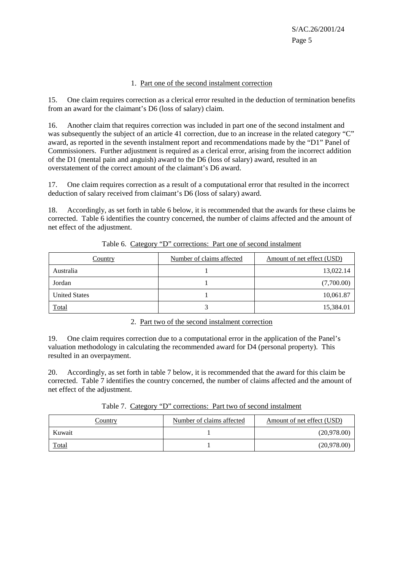#### 1. Part one of the second instalment correction

15. One claim requires correction as a clerical error resulted in the deduction of termination benefits from an award for the claimant's D6 (loss of salary) claim.

16. Another claim that requires correction was included in part one of the second instalment and was subsequently the subject of an article 41 correction, due to an increase in the related category "C" award, as reported in the seventh instalment report and recommendations made by the "D1" Panel of Commissioners. Further adjustment is required as a clerical error, arising from the incorrect addition of the D1 (mental pain and anguish) award to the D6 (loss of salary) award, resulted in an overstatement of the correct amount of the claimant's D6 award.

17. One claim requires correction as a result of a computational error that resulted in the incorrect deduction of salary received from claimant's D6 (loss of salary) award.

18. Accordingly, as set forth in table 6 below, it is recommended that the awards for these claims be corrected. Table 6 identifies the country concerned, the number of claims affected and the amount of net effect of the adjustment.

| Country              | Number of claims affected | Amount of net effect (USD) |
|----------------------|---------------------------|----------------------------|
| Australia            |                           | 13,022.14                  |
| Jordan               |                           | (7,700.00)                 |
| <b>United States</b> |                           | 10,061.87                  |
| Total                |                           | 15,384.01                  |

Table 6. Category "D" corrections: Part one of second instalment

#### 2. Part two of the second instalment correction

19. One claim requires correction due to a computational error in the application of the Panel's valuation methodology in calculating the recommended award for D4 (personal property). This resulted in an overpayment.

20. Accordingly, as set forth in table 7 below, it is recommended that the award for this claim be corrected. Table 7 identifies the country concerned, the number of claims affected and the amount of net effect of the adjustment.

|  |  | Table 7. Category "D" corrections: Part two of second instalment |
|--|--|------------------------------------------------------------------|
|  |  |                                                                  |

| <u>Country</u> | Number of claims affected | Amount of net effect (USD) |
|----------------|---------------------------|----------------------------|
| Kuwait         |                           | (20,978.00)                |
| <b>Total</b>   |                           | (20,978.00)                |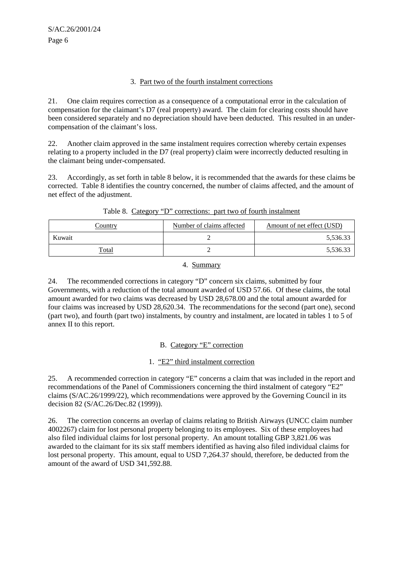#### 3. Part two of the fourth instalment corrections

21. One claim requires correction as a consequence of a computational error in the calculation of compensation for the claimant's D7 (real property) award. The claim for clearing costs should have been considered separately and no depreciation should have been deducted. This resulted in an undercompensation of the claimant's loss.

22. Another claim approved in the same instalment requires correction whereby certain expenses relating to a property included in the D7 (real property) claim were incorrectly deducted resulting in the claimant being under-compensated.

23. Accordingly, as set forth in table 8 below, it is recommended that the awards for these claims be corrected. Table 8 identifies the country concerned, the number of claims affected, and the amount of net effect of the adjustment.

| Country      | Number of claims affected | Amount of net effect (USD) |
|--------------|---------------------------|----------------------------|
| Kuwait       |                           | 5,536.33                   |
| <b>Total</b> |                           | 5,536.33                   |

#### Table 8. Category "D" corrections: part two of fourth instalment

#### 4. Summary

24. The recommended corrections in category "D" concern six claims, submitted by four Governments, with a reduction of the total amount awarded of USD 57.66. Of these claims, the total amount awarded for two claims was decreased by USD 28,678.00 and the total amount awarded for four claims was increased by USD 28,620.34. The recommendations for the second (part one), second (part two), and fourth (part two) instalments, by country and instalment, are located in tables 1 to 5 of annex II to this report.

### B. Category "E" correction

### 1. "E2" third instalment correction

25. A recommended correction in category "E" concerns a claim that was included in the report and recommendations of the Panel of Commissioners concerning the third instalment of category "E2" claims (S/AC.26/1999/22), which recommendations were approved by the Governing Council in its decision 82 (S/AC.26/Dec.82 (1999)).

26. The correction concerns an overlap of claims relating to British Airways (UNCC claim number 4002267) claim for lost personal property belonging to its employees. Six of these employees had also filed individual claims for lost personal property. An amount totalling GBP 3,821.06 was awarded to the claimant for its six staff members identified as having also filed individual claims for lost personal property. This amount, equal to USD 7,264.37 should, therefore, be deducted from the amount of the award of USD 341,592.88.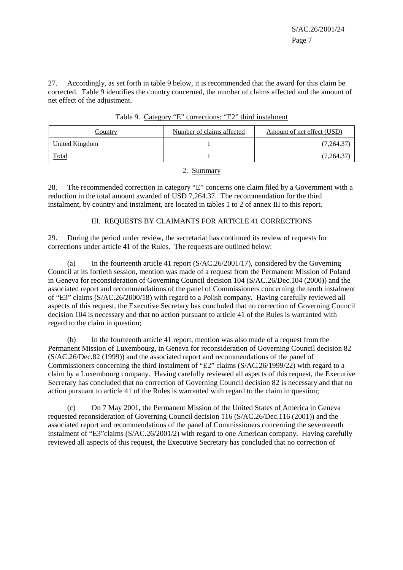27. Accordingly, as set forth in table 9 below, it is recommended that the award for this claim be corrected. Table 9 identifies the country concerned, the number of claims affected and the amount of net effect of the adjustment.

| <b>Country</b> | Number of claims affected | Amount of net effect (USD) |
|----------------|---------------------------|----------------------------|
| United Kingdom |                           | (7,264.37)                 |
| <u>Total</u>   |                           | (7,264.37)                 |

| Table 9. Category "E" corrections: "E2" third instalment |
|----------------------------------------------------------|
|----------------------------------------------------------|

2. Summary

28. The recommended correction in category "E" concerns one claim filed by a Government with a reduction in the total amount awarded of USD 7,264.37. The recommendation for the third instalment, by country and instalment, are located in tables 1 to 2 of annex III to this report.

### III. REQUESTS BY CLAIMANTS FOR ARTICLE 41 CORRECTIONS

29. During the period under review, the secretariat has continued its review of requests for corrections under article 41 of the Rules. The requests are outlined below:

(a) In the fourteenth article 41 report  $(S/AC.26/2001/17)$ , considered by the Governing Council at its fortieth session, mention was made of a request from the Permanent Mission of Poland in Geneva for reconsideration of Governing Council decision 104 (S/AC.26/Dec.104 (2000)) and the associated report and recommendations of the panel of Commissioners concerning the tenth instalment of "E3" claims (S/AC.26/2000/18) with regard to a Polish company. Having carefully reviewed all aspects of this request, the Executive Secretary has concluded that no correction of Governing Council decision 104 is necessary and that no action pursuant to article 41 of the Rules is warranted with regard to the claim in question;

(b) In the fourteenth article 41 report, mention was also made of a request from the Permanent Mission of Luxembourg, in Geneva for reconsideration of Governing Council decision 82 (S/AC.26/Dec.82 (1999)) and the associated report and recommendations of the panel of Commissioners concerning the third instalment of "E2" claims (S/AC.26/1999/22) with regard to a claim by a Luxembourg company. Having carefully reviewed all aspects of this request, the Executive Secretary has concluded that no correction of Governing Council decision 82 is necessary and that no action pursuant to article 41 of the Rules is warranted with regard to the claim in question;

(c) On 7 May 2001, the Permanent Mission of the United States of America in Geneva requested reconsideration of Governing Council decision 116 (S/AC.26/Dec.116 (2001)) and the associated report and recommendations of the panel of Commissioners concerning the seventeenth instalment of "E3"claims (S/AC.26/2001/2) with regard to one American company. Having carefully reviewed all aspects of this request, the Executive Secretary has concluded that no correction of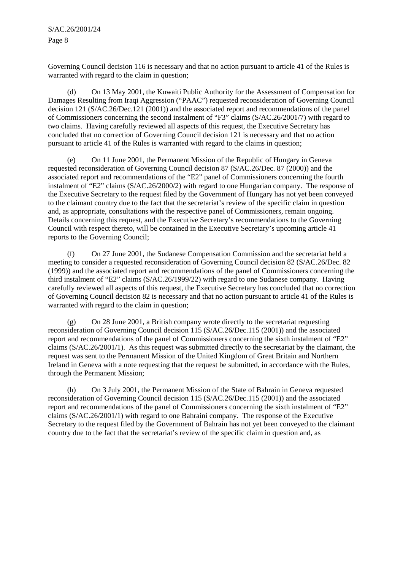Governing Council decision 116 is necessary and that no action pursuant to article 41 of the Rules is warranted with regard to the claim in question;

(d) On 13 May 2001, the Kuwaiti Public Authority for the Assessment of Compensation for Damages Resulting from Iraqi Aggression ("PAAC") requested reconsideration of Governing Council decision 121 (S/AC.26/Dec.121 (2001)) and the associated report and recommendations of the panel of Commissioners concerning the second instalment of "F3" claims (S/AC.26/2001/7) with regard to two claims. Having carefully reviewed all aspects of this request, the Executive Secretary has concluded that no correction of Governing Council decision 121 is necessary and that no action pursuant to article 41 of the Rules is warranted with regard to the claims in question;

(e) On 11 June 2001, the Permanent Mission of the Republic of Hungary in Geneva requested reconsideration of Governing Council decision 87 (S/AC.26/Dec. 87 (2000)) and the associated report and recommendations of the "E2" panel of Commissioners concerning the fourth instalment of "E2" claims (S/AC.26/2000/2) with regard to one Hungarian company. The response of the Executive Secretary to the request filed by the Government of Hungary has not yet been conveyed to the claimant country due to the fact that the secretariat's review of the specific claim in question and, as appropriate, consultations with the respective panel of Commissioners, remain ongoing. Details concerning this request, and the Executive Secretary's recommendations to the Governing Council with respect thereto, will be contained in the Executive Secretary's upcoming article 41 reports to the Governing Council;

(f) On 27 June 2001, the Sudanese Compensation Commission and the secretariat held a meeting to consider a requested reconsideration of Governing Council decision 82 (S/AC.26/Dec. 82 (1999)) and the associated report and recommendations of the panel of Commissioners concerning the third instalment of "E2" claims (S/AC.26/1999/22) with regard to one Sudanese company. Having carefully reviewed all aspects of this request, the Executive Secretary has concluded that no correction of Governing Council decision 82 is necessary and that no action pursuant to article 41 of the Rules is warranted with regard to the claim in question;

(g) On 28 June 2001, a British company wrote directly to the secretariat requesting reconsideration of Governing Council decision 115 (S/AC.26/Dec.115 (2001)) and the associated report and recommendations of the panel of Commissioners concerning the sixth instalment of "E2" claims (S/AC.26/2001/1). As this request was submitted directly to the secretariat by the claimant, the request was sent to the Permanent Mission of the United Kingdom of Great Britain and Northern Ireland in Geneva with a note requesting that the request be submitted, in accordance with the Rules, through the Permanent Mission;

(h) On 3 July 2001, the Permanent Mission of the State of Bahrain in Geneva requested reconsideration of Governing Council decision 115 (S/AC.26/Dec.115 (2001)) and the associated report and recommendations of the panel of Commissioners concerning the sixth instalment of "E2" claims (S/AC.26/2001/1) with regard to one Bahraini company. The response of the Executive Secretary to the request filed by the Government of Bahrain has not yet been conveyed to the claimant country due to the fact that the secretariat's review of the specific claim in question and, as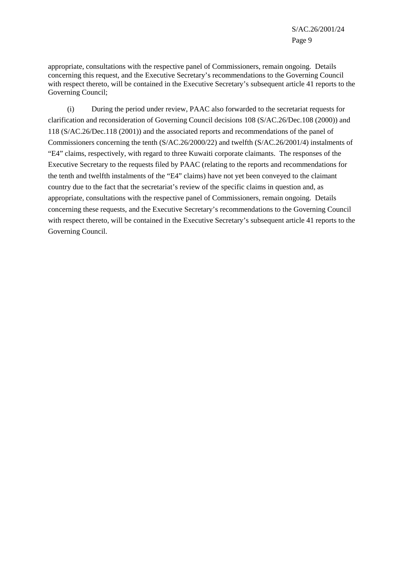appropriate, consultations with the respective panel of Commissioners, remain ongoing. Details concerning this request, and the Executive Secretary's recommendations to the Governing Council with respect thereto, will be contained in the Executive Secretary's subsequent article 41 reports to the Governing Council;

(i) During the period under review, PAAC also forwarded to the secretariat requests for clarification and reconsideration of Governing Council decisions 108 (S/AC.26/Dec.108 (2000)) and 118 (S/AC.26/Dec.118 (2001)) and the associated reports and recommendations of the panel of Commissioners concerning the tenth (S/AC.26/2000/22) and twelfth (S/AC.26/2001/4) instalments of "E4" claims, respectively, with regard to three Kuwaiti corporate claimants. The responses of the Executive Secretary to the requests filed by PAAC (relating to the reports and recommendations for the tenth and twelfth instalments of the "E4" claims) have not yet been conveyed to the claimant country due to the fact that the secretariat's review of the specific claims in question and, as appropriate, consultations with the respective panel of Commissioners, remain ongoing. Details concerning these requests, and the Executive Secretary's recommendations to the Governing Council with respect thereto, will be contained in the Executive Secretary's subsequent article 41 reports to the Governing Council.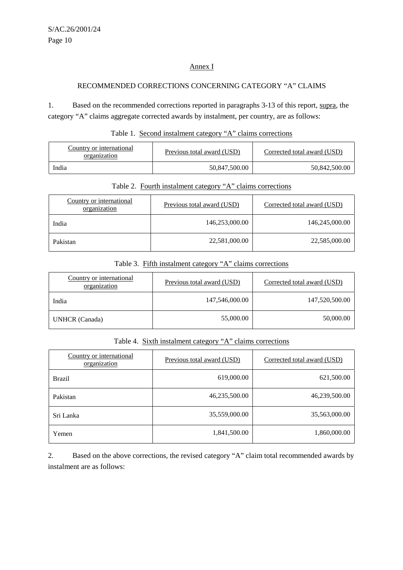# Annex I

# RECOMMENDED CORRECTIONS CONCERNING CATEGORY "A" CLAIMS

1. Based on the recommended corrections reported in paragraphs 3-13 of this report, supra, the category "A" claims aggregate corrected awards by instalment, per country, are as follows:

# Table 1. Second instalment category "A" claims corrections

| Country or international<br>organization | Previous total award (USD) | Corrected total award (USD) |
|------------------------------------------|----------------------------|-----------------------------|
| India                                    | 50,847,500.00              | 50,842,500.00               |

# Table 2. Fourth instalment category "A" claims corrections

| Country or international<br>organization | Previous total award (USD) | Corrected total award (USD) |
|------------------------------------------|----------------------------|-----------------------------|
| India                                    | 146,253,000.00             | 146,245,000.00              |
| Pakistan                                 | 22,581,000.00              | 22,585,000.00               |

# Table 3. Fifth instalment category "A" claims corrections

| Country or international<br>organization | Previous total award (USD) | Corrected total award (USD) |
|------------------------------------------|----------------------------|-----------------------------|
| India                                    | 147,546,000.00             | 147,520,500.00              |
| <b>UNHCR</b> (Canada)                    | 55,000.00                  | 50,000.00                   |

# Table 4. Sixth instalment category "A" claims corrections

| Country or international<br>organization | Previous total award (USD) | Corrected total award (USD) |
|------------------------------------------|----------------------------|-----------------------------|
| <b>Brazil</b>                            | 619,000.00                 | 621,500.00                  |
| Pakistan                                 | 46,235,500.00              | 46,239,500.00               |
| Sri Lanka                                | 35,559,000.00              | 35,563,000.00               |
| Yemen                                    | 1,841,500.00               | 1,860,000.00                |

2. Based on the above corrections, the revised category "A" claim total recommended awards by instalment are as follows: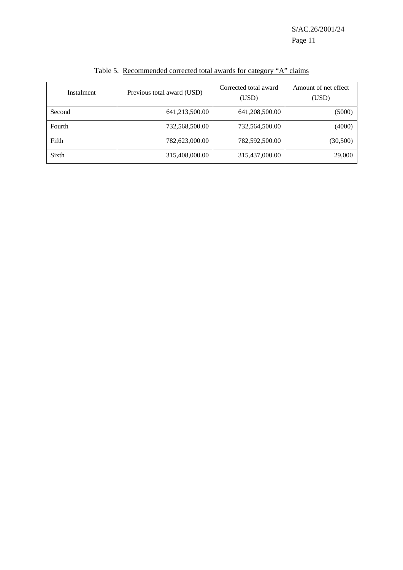S/AC.26/2001/24 Page 11

| Instalment | Previous total award (USD) | Corrected total award<br>(USD) | Amount of net effect<br>(USD) |
|------------|----------------------------|--------------------------------|-------------------------------|
| Second     | 641,213,500.00             | 641,208,500.00                 | (5000)                        |
| Fourth     | 732,568,500.00             | 732,564,500.00                 | (4000)                        |
| Fifth      | 782,623,000.00             | 782,592,500.00                 | (30, 500)                     |
| Sixth      | 315,408,000.00             | 315,437,000.00                 | 29,000                        |

Table 5. Recommended corrected total awards for category "A" claims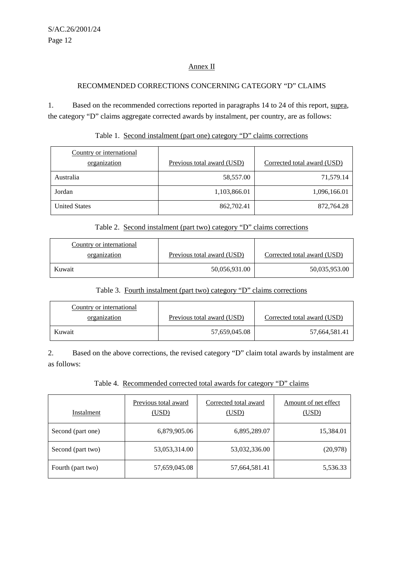# Annex II

# RECOMMENDED CORRECTIONS CONCERNING CATEGORY "D" CLAIMS

1. Based on the recommended corrections reported in paragraphs 14 to 24 of this report, supra, the category "D" claims aggregate corrected awards by instalment, per country, are as follows:

| Country or international<br>organization | Previous total award (USD) | Corrected total award (USD) |
|------------------------------------------|----------------------------|-----------------------------|
|                                          |                            |                             |
| Australia                                | 58,557.00                  | 71,579.14                   |
| Jordan                                   | 1,103,866.01               | 1,096,166.01                |
| <b>United States</b>                     | 862,702.41                 | 872,764.28                  |

### Table 1. Second instalment (part one) category "D" claims corrections

# Table 2. Second instalment (part two) category "D" claims corrections

| Country or international |                            |                             |
|--------------------------|----------------------------|-----------------------------|
| organization             | Previous total award (USD) | Corrected total award (USD) |
| Kuwait                   | 50,056,931.00              | 50,035,953.00               |

#### Table 3. Fourth instalment (part two) category "D" claims corrections

| Country or international |                            |                             |
|--------------------------|----------------------------|-----------------------------|
| organization             | Previous total award (USD) | Corrected total award (USD) |
| Kuwait                   | 57,659,045.08              | 57,664,581.41               |

2. Based on the above corrections, the revised category "D" claim total awards by instalment are as follows:

# Table 4. Recommended corrected total awards for category "D" claims

| Instalment        | Previous total award<br>(USD) | Corrected total award<br>(USD) | Amount of net effect<br>(USD) |
|-------------------|-------------------------------|--------------------------------|-------------------------------|
| Second (part one) | 6,879,905.06                  | 6,895,289.07                   | 15,384.01                     |
| Second (part two) | 53,053,314.00                 | 53,032,336.00                  | (20,978)                      |
| Fourth (part two) | 57,659,045.08                 | 57,664,581.41                  | 5,536.33                      |